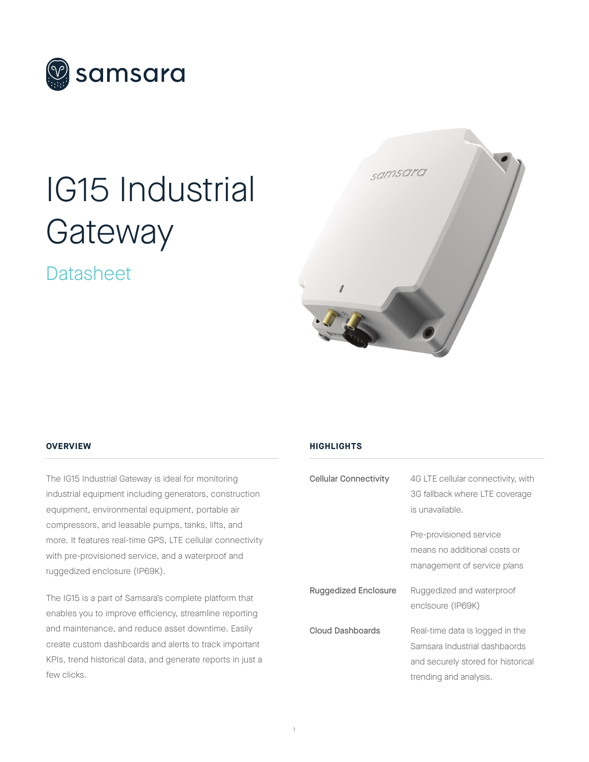

# IG15 Industrial **Gateway**

### Datasheet



### **OVERVIEW**

The IG15 Industrial Gateway is ideal for monitoring industrial equipment including generators, construction equipment, environmental equipment, portable air compressors, and leasable pumps, tanks, lifts, and more. It features real-time GPS, LTE cellular connectivity with pre-provisioned service, and a waterproof and ruggedized enclosure (IP69K).

The IG15 is a part of Samsara's complete platform that enables you to improve efficiency, streamline reporting and maintenance, and reduce asset downtime. Easily create custom dashboards and alerts to track important KPIs, trend historical data, and generate reports in just a few clicks.

### **HIGHLIGHTS**

| <b>Cellular Connectivity</b> | 4G LTE cellular connectivity, with<br>3G fallback where LTE coverage<br>is unavailable.                                          |
|------------------------------|----------------------------------------------------------------------------------------------------------------------------------|
|                              | Pre-provisioned service<br>means no additional costs or<br>management of service plans                                           |
| Ruggedized Enclosure         | Ruggedized and waterproof<br>enclsoure (IP69K)                                                                                   |
| <b>Cloud Dashboards</b>      | Real-time data is logged in the<br>Samsara Industrial dashbaords<br>and securely stored for historical<br>trending and analysis. |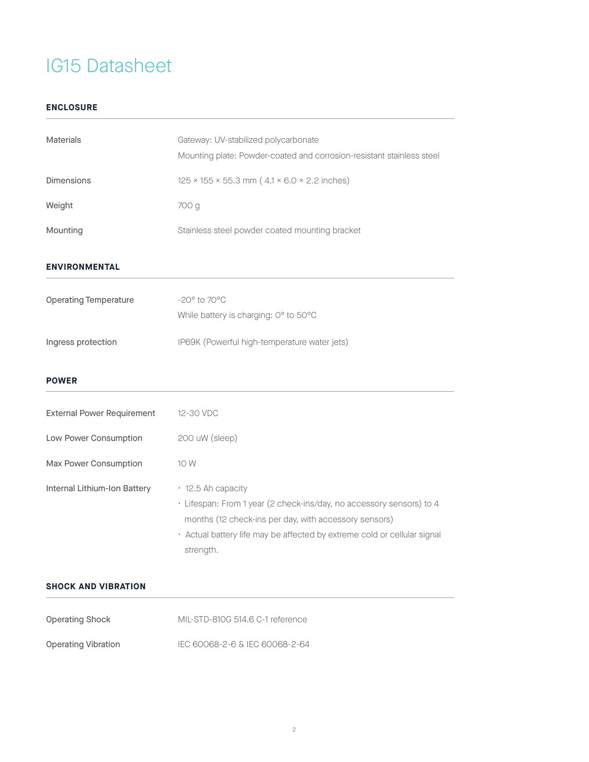### **ENCLOSURE**

| <b>Materials</b>                  | Gateway: UV-stabilized polycarbonate<br>Mounting plate: Powder-coated and corrosion-resistant stainless steel                                                                                                                                |  |
|-----------------------------------|----------------------------------------------------------------------------------------------------------------------------------------------------------------------------------------------------------------------------------------------|--|
| <b>Dimensions</b>                 | $125 \times 155 \times 55.3$ mm ( $4.1 \times 6.0 \times 2.2$ inches)                                                                                                                                                                        |  |
| Weight                            | 700 g                                                                                                                                                                                                                                        |  |
| Mounting                          | Stainless steel powder coated mounting bracket                                                                                                                                                                                               |  |
| <b>ENVIRONMENTAL</b>              |                                                                                                                                                                                                                                              |  |
| <b>Operating Temperature</b>      | $-20^\circ$ to $70^\circ$ C<br>While battery is charging: 0° to 50°C                                                                                                                                                                         |  |
| Ingress protection                | IP69K (Powerful high-temperature water jets)                                                                                                                                                                                                 |  |
| <b>POWER</b>                      |                                                                                                                                                                                                                                              |  |
| <b>External Power Requirement</b> | 12-30 VDC                                                                                                                                                                                                                                    |  |
| Low Power Consumption             | 200 uW (sleep)                                                                                                                                                                                                                               |  |
| Max Power Consumption             | 10 W                                                                                                                                                                                                                                         |  |
| Internal Lithium-Ion Battery      | · 12.5 Ah capacity<br>· Lifespan: From 1 year (2 check-ins/day, no accessory sensors) to 4<br>months (12 check-ins per day, with accessory sensors)<br>· Actual battery life may be affected by extreme cold or cellular signal<br>strength. |  |

### **SHOCK AND VIBRATION**

| <b>Operating Shock</b>     | MIL-STD-810G 514.6 C-1 reference |  |
|----------------------------|----------------------------------|--|
| <b>Operating Vibration</b> | IEC 60068-2-6 & IEC 60068-2-64   |  |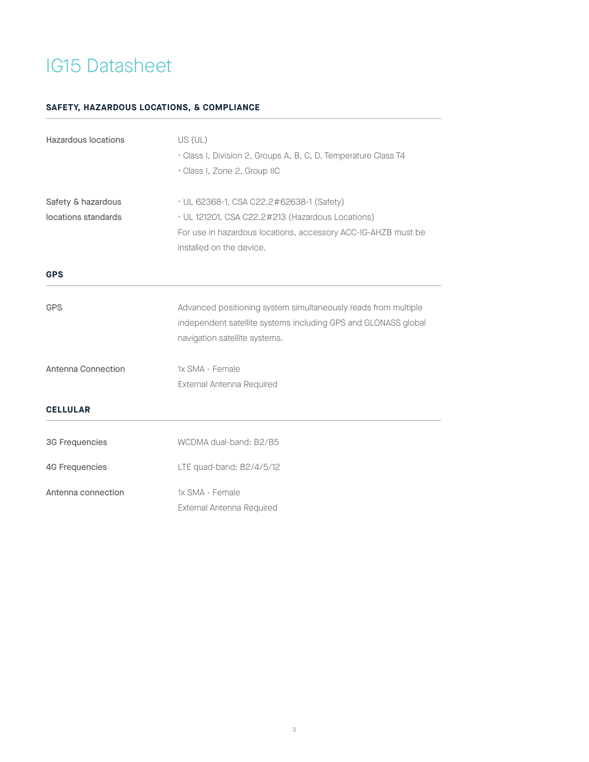### **SAFETY, HAZARDOUS LOCATIONS, & COMPLIANCE**

| Hazardous locations                       | US (UL)<br>· Class I, Division 2, Groups A, B, C, D, Temperature Class T4<br>· Class I, Zone 2, Group IIC                                                                                 |
|-------------------------------------------|-------------------------------------------------------------------------------------------------------------------------------------------------------------------------------------------|
| Safety & hazardous<br>locations standards | • UL 62368-1, CSA C22.2#62638-1 (Safety)<br>· UL 121201, CSA C22.2#213 (Hazardous Locations)<br>For use in hazardous locations, accessory ACC-IG-AHZB must be<br>installed on the device. |
| <b>GPS</b>                                |                                                                                                                                                                                           |
| <b>GPS</b>                                | Advanced positioning system simultaneously reads from multiple<br>independent satellite systems including GPS and GLONASS global<br>navigation satellite systems.                         |
| <b>Antenna Connection</b>                 | 1x SMA - Female<br>External Antenna Required                                                                                                                                              |
| <b>CELLULAR</b>                           |                                                                                                                                                                                           |
| 3G Frequencies                            | WCDMA dual-band: B2/B5                                                                                                                                                                    |
| <b>4G Frequencies</b>                     | LTE quad-band: B2/4/5/12                                                                                                                                                                  |
| Antenna connection                        | 1x SMA - Female<br>External Antenna Required                                                                                                                                              |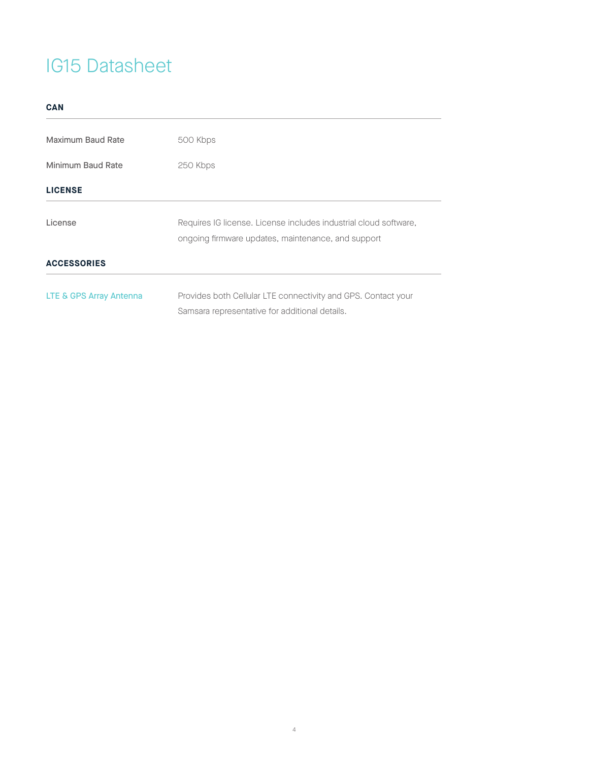| ۰.           |  |
|--------------|--|
| ×<br>I<br>v. |  |

| 500 Kbps                                                                                                               |  |  |
|------------------------------------------------------------------------------------------------------------------------|--|--|
| 250 Kbps                                                                                                               |  |  |
|                                                                                                                        |  |  |
| Requires IG license. License includes industrial cloud software,<br>ongoing firmware updates, maintenance, and support |  |  |
|                                                                                                                        |  |  |
| Provides both Cellular LTE connectivity and GPS. Contact your<br>Samsara representative for additional details.        |  |  |
|                                                                                                                        |  |  |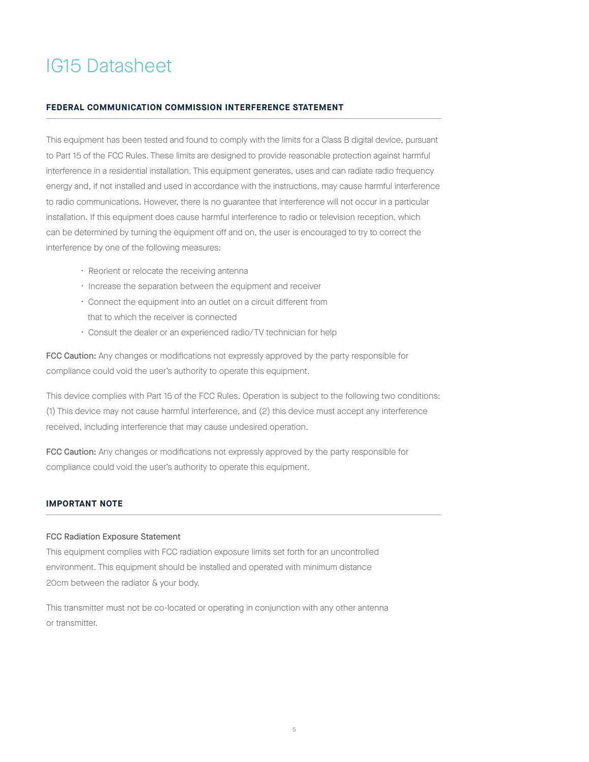#### **FEDERAL COMMUNICATION COMMISSION INTERFERENCE STATEMENT**

This equipment has been tested and found to comply with the limits for a Class B digital device, pursuant to Part 15 of the FCC Rules. These limits are designed to provide reasonable protection against harmful interference in a residential installation. This equipment generates, uses and can radiate radio frequency energy and, if not installed and used in accordance with the instructions, may cause harmful interference to radio communications. However, there is no guarantee that interference will not occur in a particular installation. If this equipment does cause harmful interference to radio or television reception, which can be determined by turning the equipment off and on, the user is encouraged to try to correct the interference by one of the following measures:

- Reorient or relocate the receiving antenna
- Increase the separation between the equipment and receiver
- Connect the equipment into an outlet on a circuit different from that to which the receiver is connected
- Consult the dealer or an experienced radio/TV technician for help

FCC Caution: Any changes or modifications not expressly approved by the party responsible for compliance could void the user's authority to operate this equipment.

This device complies with Part 15 of the FCC Rules. Operation is subject to the following two conditions: (1) This device may not cause harmful interference, and (2) this device must accept any interference received, including interference that may cause undesired operation.

FCC Caution: Any changes or modifications not expressly approved by the party responsible for compliance could void the user's authority to operate this equipment.

#### **IMPORTANT NOTE**

#### FCC Radiation Exposure Statement

This equipment complies with FCC radiation exposure limits set forth for an uncontrolled environment. This equipment should be installed and operated with minimum distance 20cm between the radiator & your body.

This transmitter must not be co-located or operating in conjunction with any other antenna or transmitter.